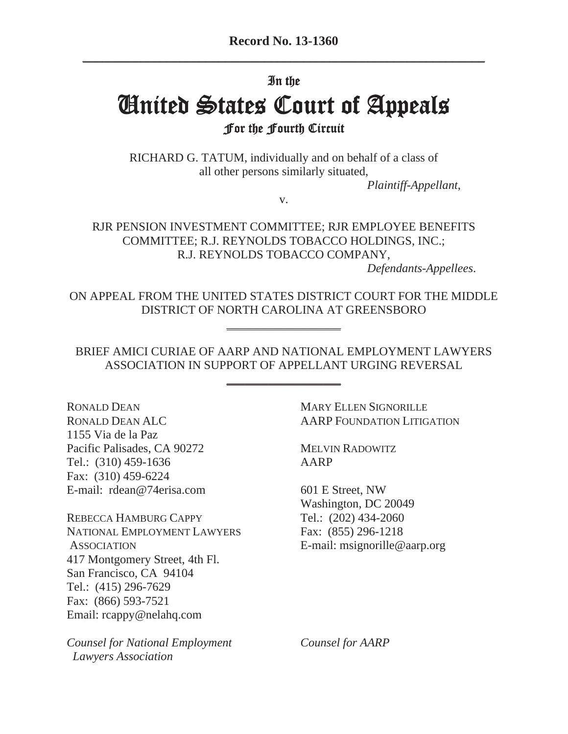### In the

# **United States Court of Appeals For the Fourth Circuit**

RICHARD G. TATUM, individually and on behalf of a class of all other persons similarly situated,

*Plaintiff-Appellant*,

v.

RJR PENSION INVESTMENT COMMITTEE; RJR EMPLOYEE BENEFITS COMMITTEE; R.J. REYNOLDS TOBACCO HOLDINGS, INC.; R.J. REYNOLDS TOBACCO COMPANY,

*Defendants-Appellees*.

ON APPEAL FROM THE UNITED STATES DISTRICT COURT FOR THE MIDDLE DISTRICT OF NORTH CAROLINA AT GREENSBORO

\_\_\_\_\_\_\_\_\_\_\_\_\_\_\_\_\_\_\_

BRIEF AMICI CURIAE OF AARP AND NATIONAL EMPLOYMENT LAWYERS ASSOCIATION IN SUPPORT OF APPELLANT URGING REVERSAL

\_\_\_\_\_\_\_\_\_\_\_\_\_\_\_\_\_\_\_

RONALD DEAN MARY ELLEN SIGNORILLE 1155 Via de la Paz Pacific Palisades, CA 90272 MELVIN RADOWITZ Tel.: (310) 459-1636 AARP Fax: (310) 459-6224 E-mail: rdean@74erisa.com 601 E Street, NW

REBECCA HAMBURG CAPPY Tel.: (202) 434-2060 NATIONAL EMPLOYMENT LAWYERS Fax: (855) 296-1218 ASSOCIATION E-mail: msignorille@aarp.org 417 Montgomery Street, 4th Fl. San Francisco, CA 94104 Tel.: (415) 296-7629 Fax: (866) 593-7521 Email: rcappy@nelahq.com

*Counsel for National Employment Counsel for AARP Lawyers Association*

RONALD DEAN ALC AARP FOUNDATION LITIGATION

Washington, DC 20049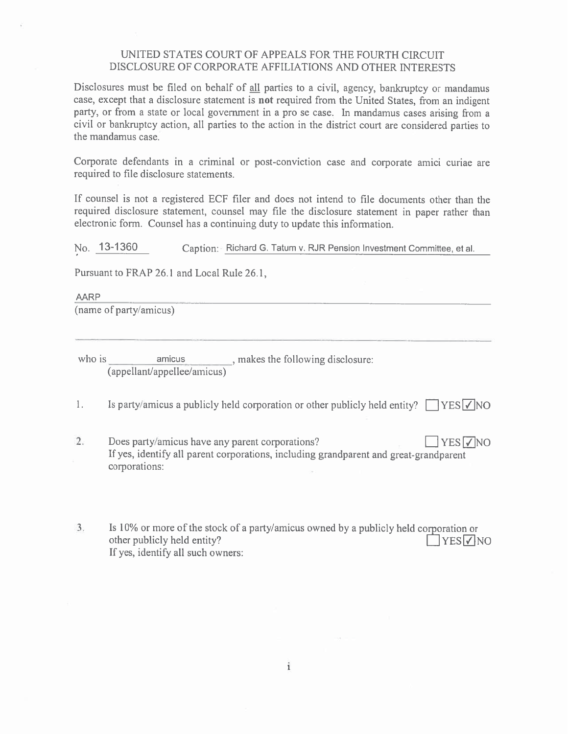#### UNITED STATES COURT OF APPEALS FOR THE FOURTH CIRCUIT DISCLOSURE OF CORPORATE AFFILIATIONS AND OTHER INTERESTS

Disclosures must be filed on behalf of all parties to a civil, agency, bankruptcy or mandamus case, except that a disclosure statement is **not** required from the United States, from an indigent party, or from a state or local government in a pro se case. In mandamus cases arising from a civil or bankruptcy action, all parties to the action in the district court are considered parties to the mandamus case.

Corporate defendants in a criminal or post-conviction case and corporate amici curiae are required to file disclosure statements.

If counsel is not a registered ECF filer and does not intend to file documents other than the required disclosure statement, counsel may file the disclosure statement in paper rather than electronic form. Counsel has a continuing duty to update this information.

No. 13-1360 Caption: - Richard G. Tatum v. RJR Pension Investment Committee, et al.

Pursuant to FRAP 26.1 and Local Rule 26.1,

**AARP** (name of party/amicus)

amicus \_\_\_\_\_\_\_\_, makes the following disclosure: who is (appellant/appellee/amicus)

 $\mathbb{L}$ Is party/amicus a publicly held corporation or other publicly held entity?  $\Box$  YES  $\Box$  NO

- $2.$ Does party/amicus have any parent corporations? **TYES** If yes, identify all parent corporations, including grandparent and great-grandparent corporations:
- $3.$ Is 10% or more of the stock of a party/amicus owned by a publicly held corporation or other publicly held entity?  $\Box$ YES $\nabla$ NO If yes, identify all such owners:

 $\mathbf{i}$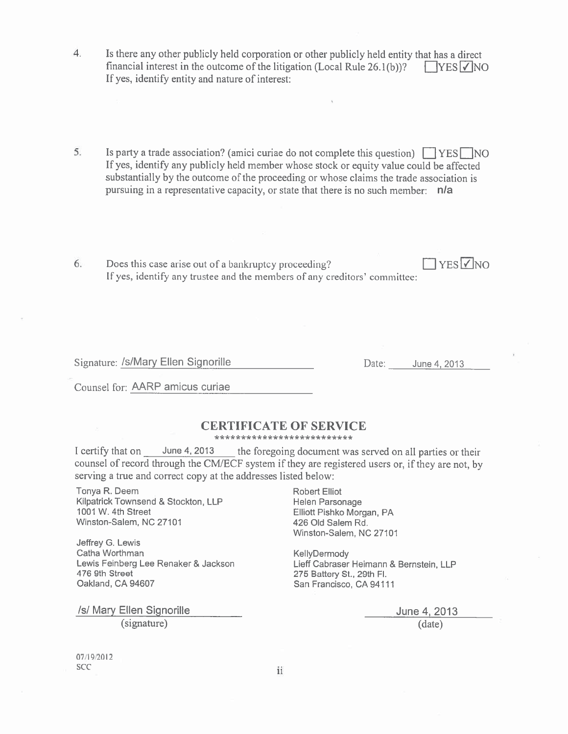- Is there any other publicly held corporation or other publicly held entity that has a direct  $4.$ financial interest in the outcome of the litigation (Local Rule 26.1(b))?  $\Box$  YES  $\Box$  NO If yes, identify entity and nature of interest:
- 5. Is party a trade association? (amici curiae do not complete this question)  $\Box$  YES  $\Box$  NO If yes, identify any publicly held member whose stock or equity value could be affected substantially by the outcome of the proceeding or whose claims the trade association is pursuing in a representative capacity, or state that there is no such member: n/a
- $\Box$  YES  $\Box$  NO 6. Does this case arise out of a bankruptcy proceeding? If yes, identify any trustee and the members of any creditors' committee:

Signature: /s/Mary Ellen Signorille

Date: June 4, 2013

Counsel for: AARP amicus curiae

#### **CERTIFICATE OF SERVICE**

\*\*\*\*\*\*\*\*\*\*\*\*\*\*\*\*\*\*\*\*\*\*\*\*\*\*

I certify that on June 4, 2013 the foregoing document was served on all parties or their counsel of record through the CM/ECF system if they are registered users or, if they are not, by serving a true and correct copy at the addresses listed below:

Tonya R. Deem Kilpatrick Townsend & Stockton, LLP 1001 W. 4th Street Winston-Salem, NC 27101

Jeffrey G. Lewis Catha Worthman Lewis Feinberg Lee Renaker & Jackson 476 9th Street Oakland, CA 94607

/s/ Mary Ellen Signorille (signature)

Robert Elliot Helen Parsonage Elliott Pishko Morgan, PA 426 Old Salem Rd. Winston-Salem, NC 27101

KellyDermody Lieff Cabraser Heimann & Bernstein, LLP 275 Battery St., 29th Fl. San Francisco, CA 94111

> June 4, 2013  $(data)$

07/19/2012 **SCC** 

ii.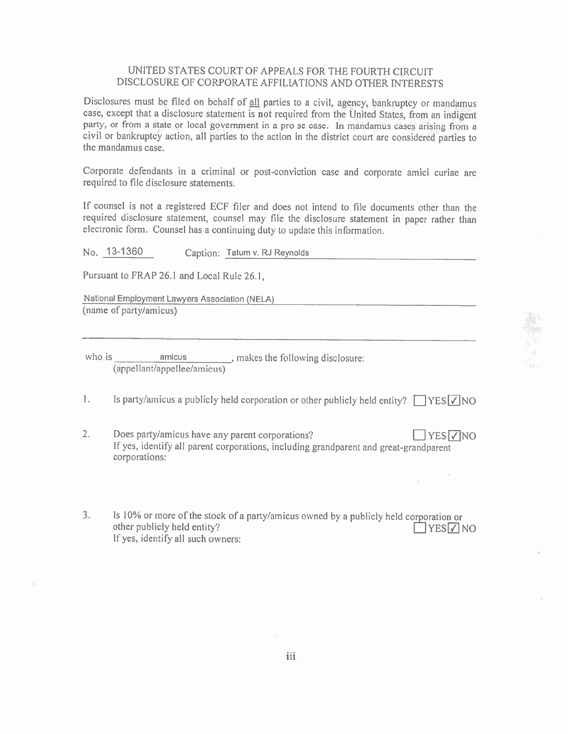#### UNITED STATES COURT OF APPEALS FOR THE FOURTH CIRCUIT DISCLOSURE OF CORPORATE AFFILIATIONS AND OTHER INTERESTS

Disclosures must be filed on behalf of all parties to a civil, agency, bankruptcy or mandamus case, except that a disclosure statement is not required from the United States, from an indigent party, or from a state or local government in a pro se case. In mandamus cases arising from a civil or bankruptcy action, all parties to the action in the district court are considered parties to the mandamus case.

Corporate defendants in a criminal or post-conviction case and corporate amici curiae are required to file disclosure statements.

If counsel is not a registered ECF filer and does not intend to file documents other than the required disclosure statement, counsel may file the disclosure statement in paper rather than electronic form. Counsel has a continuing duty to update this information.

|    | No. 13-1360                                                      | Caption: Tatum v. RJ Reynolds                   |                                                                                                 |                           |
|----|------------------------------------------------------------------|-------------------------------------------------|-------------------------------------------------------------------------------------------------|---------------------------|
|    | Pursuant to FRAP 26.1 and Local Rule 26.1,                       |                                                 |                                                                                                 |                           |
|    | National Employment Lawyers Association (NELA)                   |                                                 |                                                                                                 |                           |
|    | (name of party/amicus)                                           |                                                 |                                                                                                 |                           |
|    |                                                                  |                                                 |                                                                                                 |                           |
|    | (appellant/appellee/amicus)                                      |                                                 |                                                                                                 |                           |
| 1. |                                                                  |                                                 | Is party/amicus a publicly held corporation or other publicly held entity? $\Box$ YES $\lor$ NO |                           |
| 2. | corporations:                                                    | Does party/amicus have any parent corporations? | If yes, identify all parent corporations, including grandparent and great-grandparent           | $\exists$ YES $\nabla$ NO |
|    |                                                                  |                                                 |                                                                                                 |                           |
| 3. | other publicly held entity?<br>If yes, identify all such owners: |                                                 | Is 10% or more of the stock of a party/amicus owned by a publicly held corporation or           | <b>YESI7INO</b>           |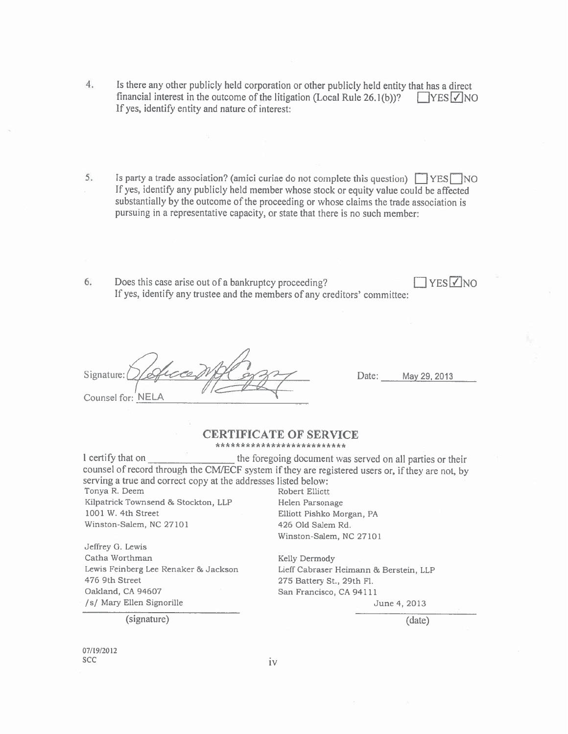- $4.$ Is there any other publicly held corporation or other publicly held entity that has a direct financial interest in the outcome of the litigation (Local Rule 26.1(b))?  $\Box$  YES  $\Box$  NO If yes, identify entity and nature of interest:
- 5. Is party a trade association? (amici curiae do not complete this question)  $\Box$  YES NO If yes, identify any publicly held member whose stock or equity value could be affected substantially by the outcome of the proceeding or whose claims the trade association is pursuing in a representative capacity, or state that there is no such member:
- **TYES** VNO 6. Does this case arise out of a bankruptcy proceeding? If yes, identify any trustee and the members of any creditors' committee:

Signature: Counsel for: NELA

Date: May 29, 2013

#### **CERTIFICATE OF SERVICE** \*\*\*\*\*\*\*\*\*\*\*\*\*\*\*\*\*\*\*\*\*\*\*\*\*\*

I certify that on the foregoing document was served on all parties or their counsel of record through the CM/ECF system if they are registered users or, if they are not, by serving a true and correct copy at the addresses listed below: Tonya R. Deem Robert Elliott

Kilpatrick Townsend & Stockton, LLP 1001 W. 4th Street Winston-Salem, NC 27101

Jeffrey G. Lewis Catha Worthman Lewis Feinberg Lee Renaker & Jackson 476 9th Street Oakland, CA 94607 /s/ Mary Ellen Signorille

(signature)

Helen Parsonage Elliott Pishko Morgan, PA 426 Old Salem Rd. Winston-Salem, NC 27101

Kelly Dermody Lieff Cabraser Heimann & Berstein, LLP 275 Battery St., 29th Fl. San Francisco, CA 94111

June 4, 2013

 $(date)$ 

07/19/2012 **SCC** 

 $iv$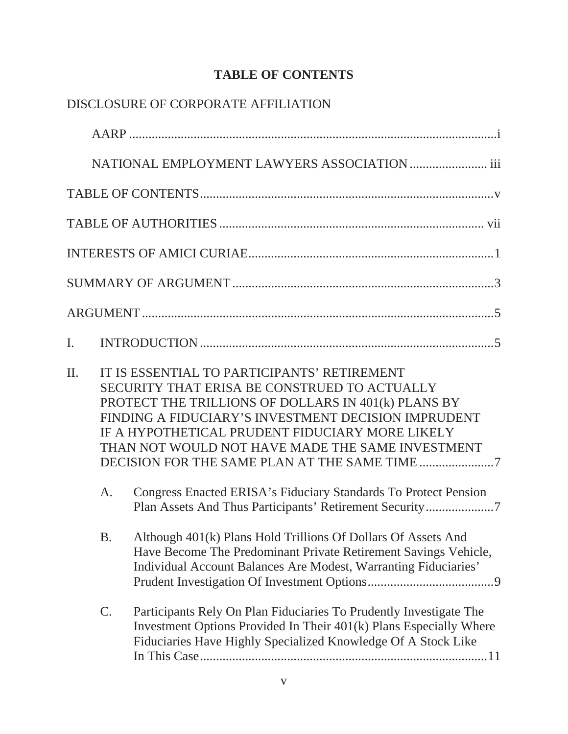## **TABLE OF CONTENTS**

|                |           | DISCLOSURE OF CORPORATE AFFILIATION                                                                                                                                                                                                                                                                              |
|----------------|-----------|------------------------------------------------------------------------------------------------------------------------------------------------------------------------------------------------------------------------------------------------------------------------------------------------------------------|
|                |           |                                                                                                                                                                                                                                                                                                                  |
|                |           | NATIONAL EMPLOYMENT LAWYERS ASSOCIATION  iii                                                                                                                                                                                                                                                                     |
|                |           |                                                                                                                                                                                                                                                                                                                  |
|                |           |                                                                                                                                                                                                                                                                                                                  |
|                |           |                                                                                                                                                                                                                                                                                                                  |
|                |           |                                                                                                                                                                                                                                                                                                                  |
|                |           |                                                                                                                                                                                                                                                                                                                  |
| $\mathbf{I}$ . |           |                                                                                                                                                                                                                                                                                                                  |
| $\Pi$ .        |           | IT IS ESSENTIAL TO PARTICIPANTS' RETIREMENT<br>SECURITY THAT ERISA BE CONSTRUED TO ACTUALLY<br>PROTECT THE TRILLIONS OF DOLLARS IN 401(k) PLANS BY<br>FINDING A FIDUCIARY'S INVESTMENT DECISION IMPRUDENT<br>IF A HYPOTHETICAL PRUDENT FIDUCIARY MORE LIKELY<br>THAN NOT WOULD NOT HAVE MADE THE SAME INVESTMENT |
|                | A.        | Congress Enacted ERISA's Fiduciary Standards To Protect Pension<br>Plan Assets And Thus Participants' Retirement Security7                                                                                                                                                                                       |
|                | <b>B.</b> | Although 401(k) Plans Hold Trillions Of Dollars Of Assets And<br>Have Become The Predominant Private Retirement Savings Vehicle,<br>Individual Account Balances Are Modest, Warranting Fiduciaries'                                                                                                              |
|                | C.        | Participants Rely On Plan Fiduciaries To Prudently Investigate The<br>Investment Options Provided In Their 401(k) Plans Especially Where<br>Fiduciaries Have Highly Specialized Knowledge Of A Stock Like                                                                                                        |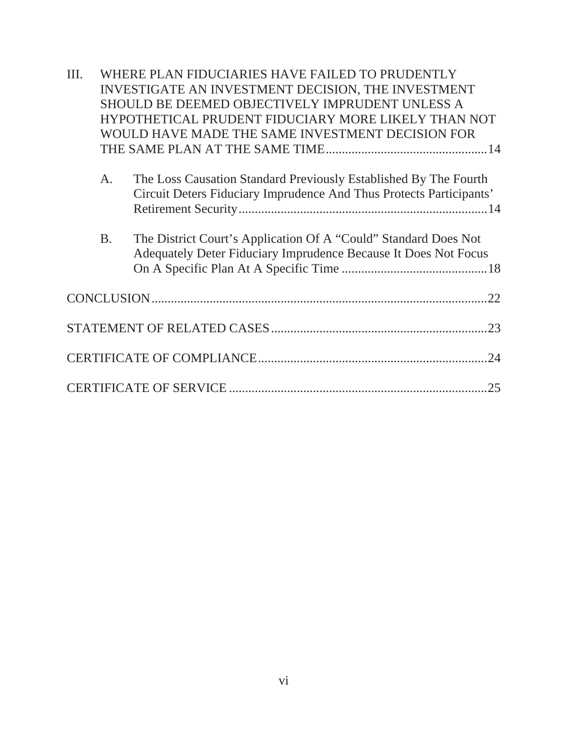| III. |           | WHERE PLAN FIDUCIARIES HAVE FAILED TO PRUDENTLY                                                                                         |
|------|-----------|-----------------------------------------------------------------------------------------------------------------------------------------|
|      |           | INVESTIGATE AN INVESTMENT DECISION, THE INVESTMENT                                                                                      |
|      |           | SHOULD BE DEEMED OBJECTIVELY IMPRUDENT UNLESS A                                                                                         |
|      |           | HYPOTHETICAL PRUDENT FIDUCIARY MORE LIKELY THAN NOT                                                                                     |
|      |           | WOULD HAVE MADE THE SAME INVESTMENT DECISION FOR                                                                                        |
|      |           |                                                                                                                                         |
|      | A.        | The Loss Causation Standard Previously Established By The Fourth<br>Circuit Deters Fiduciary Imprudence And Thus Protects Participants' |
|      | <b>B.</b> | The District Court's Application Of A "Could" Standard Does Not<br>Adequately Deter Fiduciary Imprudence Because It Does Not Focus      |
|      |           |                                                                                                                                         |
|      |           |                                                                                                                                         |
|      |           |                                                                                                                                         |
|      |           | .25                                                                                                                                     |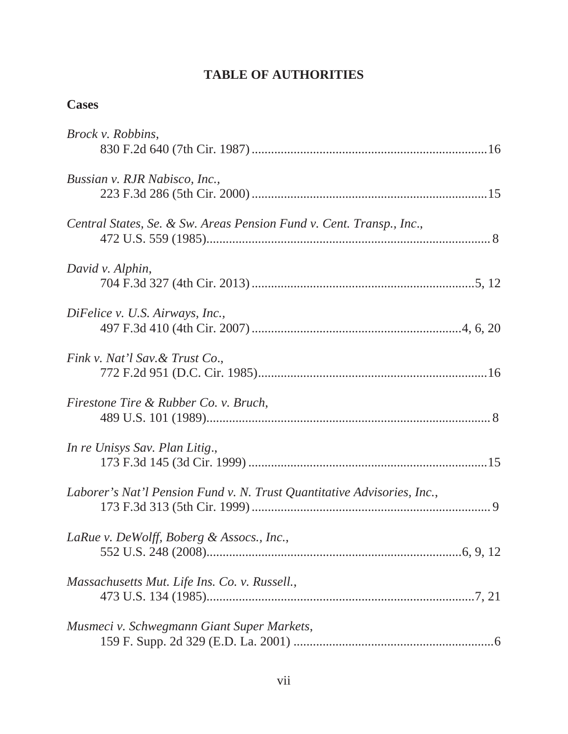## **TABLE OF AUTHORITIES**

## **Cases**

| <i>Brock v. Robbins,</i>                                                |
|-------------------------------------------------------------------------|
| Bussian v. RJR Nabisco, Inc.,                                           |
| Central States, Se. & Sw. Areas Pension Fund v. Cent. Transp., Inc.,    |
| David v. Alphin,                                                        |
| DiFelice v. U.S. Airways, Inc.,                                         |
| Fink v. Nat'l Sav. & Trust Co.,                                         |
| Firestone Tire & Rubber Co. v. Bruch,                                   |
| In re Unisys Sav. Plan Litig.,                                          |
| Laborer's Nat'l Pension Fund v. N. Trust Quantitative Advisories, Inc., |
| LaRue v. DeWolff, Boberg & Assocs., Inc.,                               |
| Massachusetts Mut. Life Ins. Co. v. Russell.,                           |
| Musmeci v. Schwegmann Giant Super Markets,                              |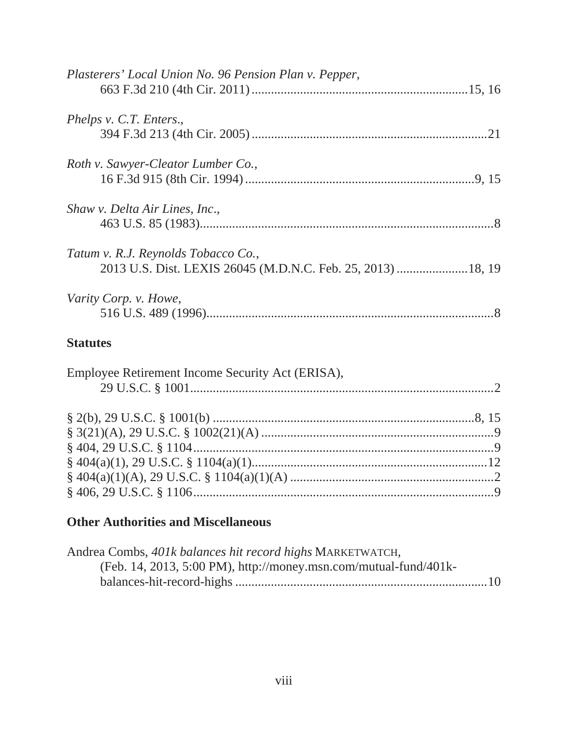| Plasterers' Local Union No. 96 Pension Plan v. Pepper,                                              |  |
|-----------------------------------------------------------------------------------------------------|--|
| Phelps v. C.T. Enters.,                                                                             |  |
| Roth v. Sawyer-Cleator Lumber Co.,                                                                  |  |
| Shaw v. Delta Air Lines, Inc.,                                                                      |  |
| Tatum v. R.J. Reynolds Tobacco Co.,<br>2013 U.S. Dist. LEXIS 26045 (M.D.N.C. Feb. 25, 2013)  18, 19 |  |
| Varity Corp. v. Howe,                                                                               |  |

## **Statutes**

| Employee Retirement Income Security Act (ERISA), |  |
|--------------------------------------------------|--|
|                                                  |  |
|                                                  |  |
|                                                  |  |
|                                                  |  |
|                                                  |  |
|                                                  |  |
|                                                  |  |
|                                                  |  |

## **Other Authorities and Miscellaneous**

| Andrea Combs, 401k balances hit record highs MARKETWATCH,        |  |
|------------------------------------------------------------------|--|
| (Feb. 14, 2013, 5:00 PM), http://money.msn.com/mutual-fund/401k- |  |
|                                                                  |  |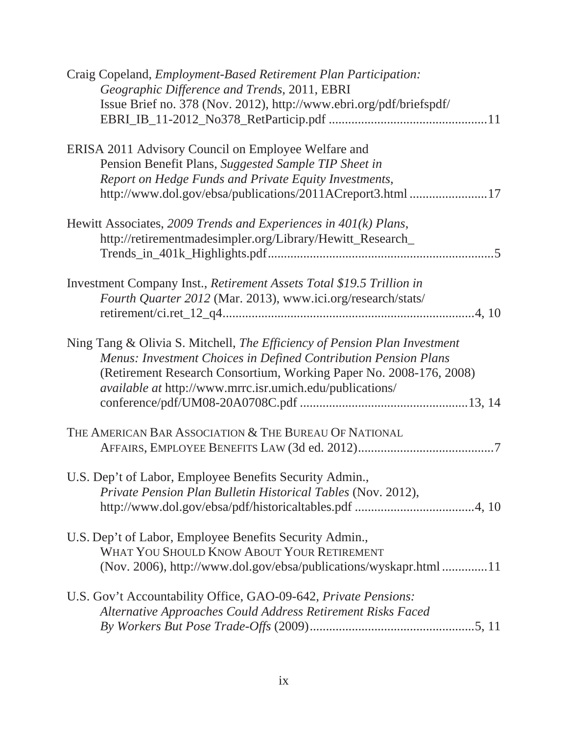| Craig Copeland, <i>Employment-Based Retirement Plan Participation</i> :<br>Geographic Difference and Trends, 2011, EBRI |
|-------------------------------------------------------------------------------------------------------------------------|
| Issue Brief no. 378 (Nov. 2012), http://www.ebri.org/pdf/briefspdf/                                                     |
|                                                                                                                         |
| ERISA 2011 Advisory Council on Employee Welfare and                                                                     |
| Pension Benefit Plans, Suggested Sample TIP Sheet in                                                                    |
| Report on Hedge Funds and Private Equity Investments,                                                                   |
| http://www.dol.gov/ebsa/publications/2011ACreport3.html 17                                                              |
| Hewitt Associates, 2009 Trends and Experiences in $401(k)$ Plans,                                                       |
| http://retirementmadesimpler.org/Library/Hewitt_Research_                                                               |
|                                                                                                                         |
| Investment Company Inst., Retirement Assets Total \$19.5 Trillion in                                                    |
| Fourth Quarter 2012 (Mar. 2013), www.ici.org/research/stats/                                                            |
|                                                                                                                         |
| Ning Tang & Olivia S. Mitchell, The Efficiency of Pension Plan Investment                                               |
| Menus: Investment Choices in Defined Contribution Pension Plans                                                         |
| (Retirement Research Consortium, Working Paper No. 2008-176, 2008)                                                      |
| <i>available at http://www.mrrc.isr.umich.edu/publications/</i>                                                         |
|                                                                                                                         |
|                                                                                                                         |
| THE AMERICAN BAR ASSOCIATION & THE BUREAU OF NATIONAL                                                                   |
|                                                                                                                         |
| U.S. Dep't of Labor, Employee Benefits Security Admin.,                                                                 |
| Private Pension Plan Bulletin Historical Tables (Nov. 2012),                                                            |
|                                                                                                                         |
| U.S. Dep't of Labor, Employee Benefits Security Admin.,                                                                 |
| WHAT YOU SHOULD KNOW ABOUT YOUR RETIREMENT                                                                              |
| (Nov. 2006), http://www.dol.gov/ebsa/publications/wyskapr.html 11                                                       |
| U.S. Gov't Accountability Office, GAO-09-642, Private Pensions:                                                         |
| Alternative Approaches Could Address Retirement Risks Faced                                                             |
|                                                                                                                         |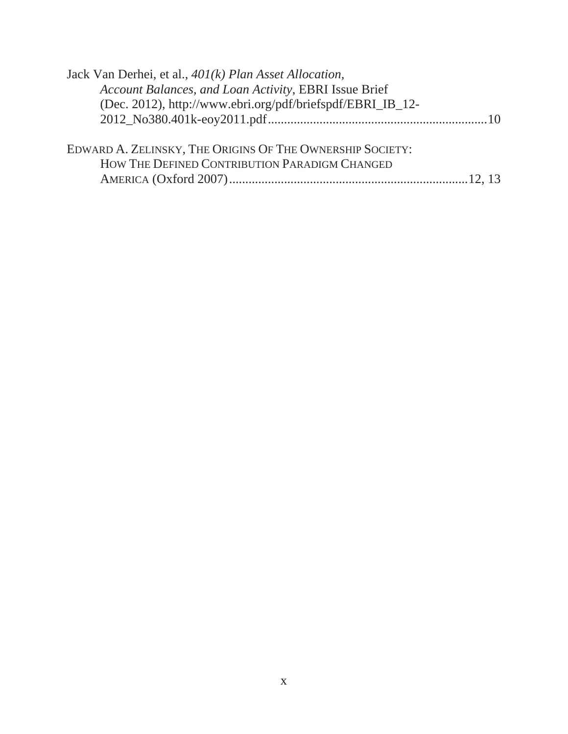| Jack Van Derhei, et al., 401(k) Plan Asset Allocation,     |  |
|------------------------------------------------------------|--|
| Account Balances, and Loan Activity, EBRI Issue Brief      |  |
| (Dec. 2012), http://www.ebri.org/pdf/briefspdf/EBRI_IB_12- |  |
|                                                            |  |
|                                                            |  |
| EDWARD A. ZELINSKY, THE ORIGINS OF THE OWNERSHIP SOCIETY:  |  |
| HOW THE DEFINED CONTRIBUTION PARADIGM CHANGED              |  |
|                                                            |  |
|                                                            |  |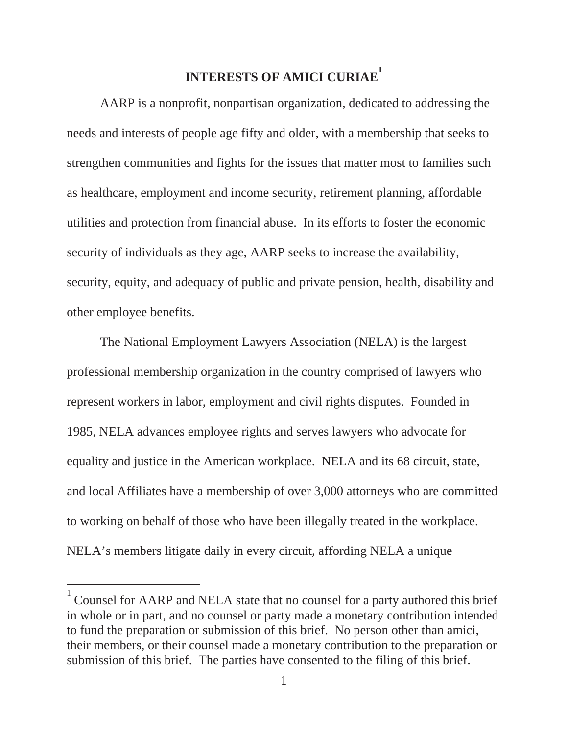## **INTERESTS OF AMICI CURIAE<sup>1</sup>**

AARP is a nonprofit, nonpartisan organization, dedicated to addressing the needs and interests of people age fifty and older, with a membership that seeks to strengthen communities and fights for the issues that matter most to families such as healthcare, employment and income security, retirement planning, affordable utilities and protection from financial abuse. In its efforts to foster the economic security of individuals as they age, AARP seeks to increase the availability, security, equity, and adequacy of public and private pension, health, disability and other employee benefits.

The National Employment Lawyers Association (NELA) is the largest professional membership organization in the country comprised of lawyers who represent workers in labor, employment and civil rights disputes. Founded in 1985, NELA advances employee rights and serves lawyers who advocate for equality and justice in the American workplace. NELA and its 68 circuit, state, and local Affiliates have a membership of over 3,000 attorneys who are committed to working on behalf of those who have been illegally treated in the workplace. NELA's members litigate daily in every circuit, affording NELA a unique

<sup>1</sup> Counsel for AARP and NELA state that no counsel for a party authored this brief in whole or in part, and no counsel or party made a monetary contribution intended to fund the preparation or submission of this brief. No person other than amici, their members, or their counsel made a monetary contribution to the preparation or submission of this brief. The parties have consented to the filing of this brief.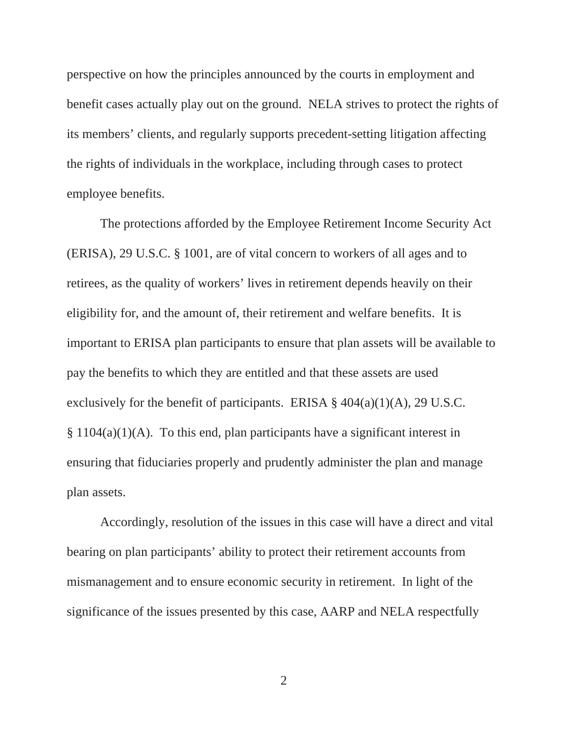perspective on how the principles announced by the courts in employment and benefit cases actually play out on the ground. NELA strives to protect the rights of its members' clients, and regularly supports precedent-setting litigation affecting the rights of individuals in the workplace, including through cases to protect employee benefits.

The protections afforded by the Employee Retirement Income Security Act (ERISA), 29 U.S.C. § 1001, are of vital concern to workers of all ages and to retirees, as the quality of workers' lives in retirement depends heavily on their eligibility for, and the amount of, their retirement and welfare benefits. It is important to ERISA plan participants to ensure that plan assets will be available to pay the benefits to which they are entitled and that these assets are used exclusively for the benefit of participants. ERISA  $\S$  404(a)(1)(A), 29 U.S.C.  $§ 1104(a)(1)(A)$ . To this end, plan participants have a significant interest in ensuring that fiduciaries properly and prudently administer the plan and manage plan assets.

Accordingly, resolution of the issues in this case will have a direct and vital bearing on plan participants' ability to protect their retirement accounts from mismanagement and to ensure economic security in retirement. In light of the significance of the issues presented by this case, AARP and NELA respectfully

2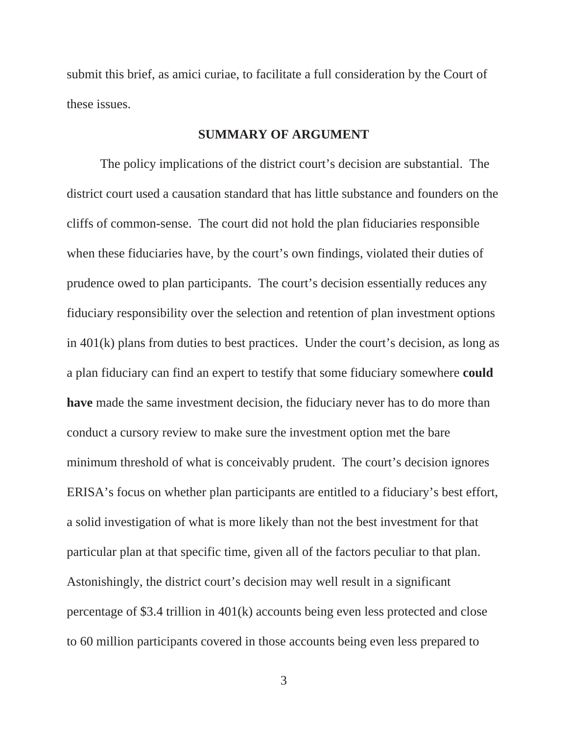submit this brief, as amici curiae, to facilitate a full consideration by the Court of these issues.

#### **SUMMARY OF ARGUMENT**

The policy implications of the district court's decision are substantial. The district court used a causation standard that has little substance and founders on the cliffs of common-sense. The court did not hold the plan fiduciaries responsible when these fiduciaries have, by the court's own findings, violated their duties of prudence owed to plan participants. The court's decision essentially reduces any fiduciary responsibility over the selection and retention of plan investment options in 401(k) plans from duties to best practices. Under the court's decision, as long as a plan fiduciary can find an expert to testify that some fiduciary somewhere **could have** made the same investment decision, the fiduciary never has to do more than conduct a cursory review to make sure the investment option met the bare minimum threshold of what is conceivably prudent. The court's decision ignores ERISA's focus on whether plan participants are entitled to a fiduciary's best effort, a solid investigation of what is more likely than not the best investment for that particular plan at that specific time, given all of the factors peculiar to that plan. Astonishingly, the district court's decision may well result in a significant percentage of \$3.4 trillion in 401(k) accounts being even less protected and close to 60 million participants covered in those accounts being even less prepared to

3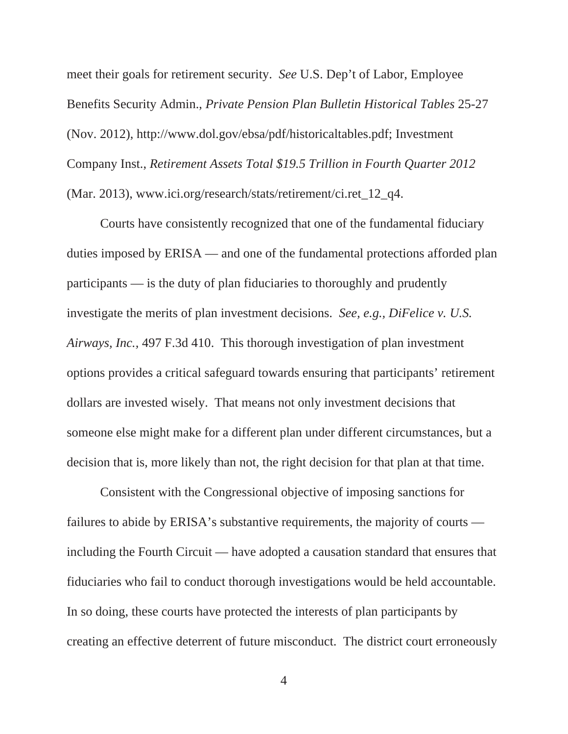meet their goals for retirement security. *See* U.S. Dep't of Labor, Employee Benefits Security Admin., *Private Pension Plan Bulletin Historical Tables* 25-27 (Nov. 2012), http://www.dol.gov/ebsa/pdf/historicaltables.pdf; Investment Company Inst., *Retirement Assets Total \$19.5 Trillion in Fourth Quarter 2012*  (Mar. 2013), www.ici.org/research/stats/retirement/ci.ret\_12\_q4.

Courts have consistently recognized that one of the fundamental fiduciary duties imposed by ERISA — and one of the fundamental protections afforded plan participants — is the duty of plan fiduciaries to thoroughly and prudently investigate the merits of plan investment decisions. *See, e.g., DiFelice v. U.S. Airways, Inc.,* 497 F.3d 410. This thorough investigation of plan investment options provides a critical safeguard towards ensuring that participants' retirement dollars are invested wisely. That means not only investment decisions that someone else might make for a different plan under different circumstances, but a decision that is, more likely than not, the right decision for that plan at that time.

Consistent with the Congressional objective of imposing sanctions for failures to abide by ERISA's substantive requirements, the majority of courts including the Fourth Circuit — have adopted a causation standard that ensures that fiduciaries who fail to conduct thorough investigations would be held accountable. In so doing, these courts have protected the interests of plan participants by creating an effective deterrent of future misconduct. The district court erroneously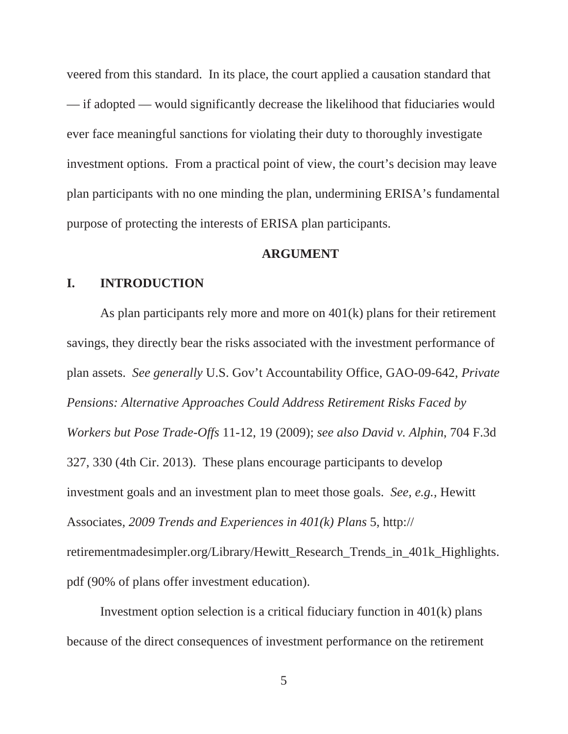veered from this standard. In its place, the court applied a causation standard that — if adopted — would significantly decrease the likelihood that fiduciaries would ever face meaningful sanctions for violating their duty to thoroughly investigate investment options. From a practical point of view, the court's decision may leave plan participants with no one minding the plan, undermining ERISA's fundamental purpose of protecting the interests of ERISA plan participants.

#### **ARGUMENT**

#### **I. INTRODUCTION**

As plan participants rely more and more on 401(k) plans for their retirement savings, they directly bear the risks associated with the investment performance of plan assets. *See generally* U.S. Gov't Accountability Office, GAO-09-642, *Private Pensions: Alternative Approaches Could Address Retirement Risks Faced by Workers but Pose Trade-Offs* 11-12, 19 (2009); *see also David v. Alphin*, 704 F.3d 327, 330 (4th Cir. 2013). These plans encourage participants to develop investment goals and an investment plan to meet those goals. *See, e.g.,* Hewitt Associates, *2009 Trends and Experiences in 401(k) Plans* 5, http:// retirementmadesimpler.org/Library/Hewitt\_Research\_Trends\_in\_401k\_Highlights. pdf (90% of plans offer investment education).

Investment option selection is a critical fiduciary function in 401(k) plans because of the direct consequences of investment performance on the retirement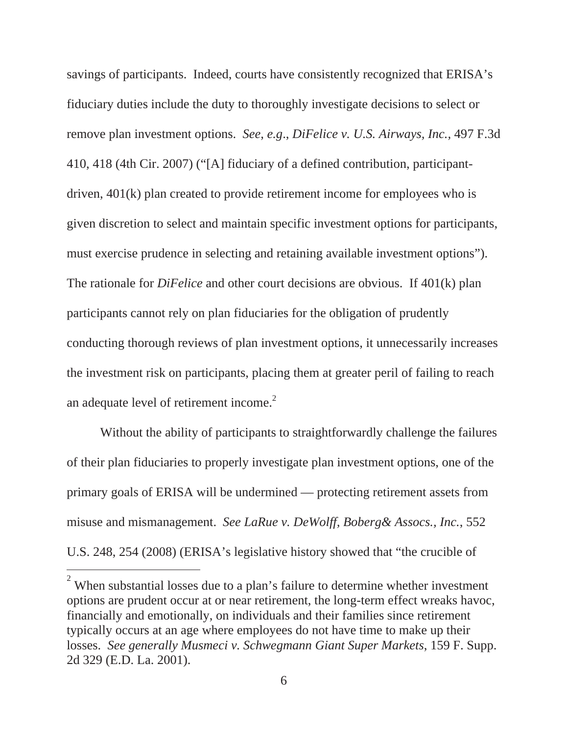savings of participants. Indeed, courts have consistently recognized that ERISA's fiduciary duties include the duty to thoroughly investigate decisions to select or remove plan investment options. *See*, *e.g*., *DiFelice v. U.S. Airways, Inc.,* 497 F.3d 410, 418 (4th Cir. 2007) ("[A] fiduciary of a defined contribution, participantdriven, 401(k) plan created to provide retirement income for employees who is given discretion to select and maintain specific investment options for participants, must exercise prudence in selecting and retaining available investment options"). The rationale for *DiFelice* and other court decisions are obvious. If 401(k) plan participants cannot rely on plan fiduciaries for the obligation of prudently conducting thorough reviews of plan investment options, it unnecessarily increases the investment risk on participants, placing them at greater peril of failing to reach an adequate level of retirement income.<sup>2</sup>

Without the ability of participants to straightforwardly challenge the failures of their plan fiduciaries to properly investigate plan investment options, one of the primary goals of ERISA will be undermined — protecting retirement assets from misuse and mismanagement. *See LaRue v. DeWolff, Boberg& Assocs., Inc.*, 552 U.S. 248, 254 (2008) (ERISA's legislative history showed that "the crucible of

 $2$  When substantial losses due to a plan's failure to determine whether investment options are prudent occur at or near retirement, the long-term effect wreaks havoc, financially and emotionally, on individuals and their families since retirement typically occurs at an age where employees do not have time to make up their losses. *See generally Musmeci v. Schwegmann Giant Super Markets*, 159 F. Supp. 2d 329 (E.D. La. 2001).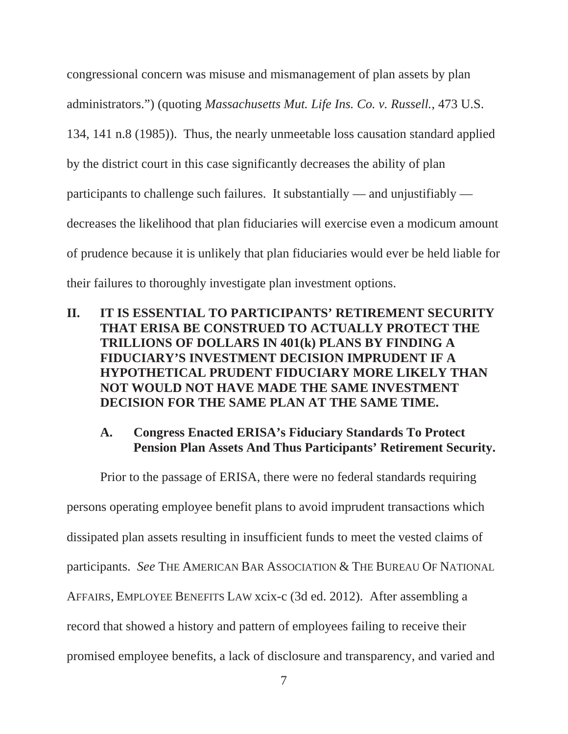congressional concern was misuse and mismanagement of plan assets by plan administrators.") (quoting *Massachusetts Mut. Life Ins. Co. v. Russell.*, 473 U.S. 134, 141 n.8 (1985)). Thus, the nearly unmeetable loss causation standard applied by the district court in this case significantly decreases the ability of plan participants to challenge such failures. It substantially — and unjustifiably decreases the likelihood that plan fiduciaries will exercise even a modicum amount of prudence because it is unlikely that plan fiduciaries would ever be held liable for their failures to thoroughly investigate plan investment options.

**II. IT IS ESSENTIAL TO PARTICIPANTS' RETIREMENT SECURITY THAT ERISA BE CONSTRUED TO ACTUALLY PROTECT THE TRILLIONS OF DOLLARS IN 401(k) PLANS BY FINDING A FIDUCIARY'S INVESTMENT DECISION IMPRUDENT IF A HYPOTHETICAL PRUDENT FIDUCIARY MORE LIKELY THAN NOT WOULD NOT HAVE MADE THE SAME INVESTMENT DECISION FOR THE SAME PLAN AT THE SAME TIME.** 

#### **A. Congress Enacted ERISA's Fiduciary Standards To Protect Pension Plan Assets And Thus Participants' Retirement Security.**

Prior to the passage of ERISA, there were no federal standards requiring persons operating employee benefit plans to avoid imprudent transactions which dissipated plan assets resulting in insufficient funds to meet the vested claims of participants. *See* THE AMERICAN BAR ASSOCIATION & THE BUREAU OF NATIONAL AFFAIRS, EMPLOYEE BENEFITS LAW xcix-c (3d ed. 2012). After assembling a record that showed a history and pattern of employees failing to receive their promised employee benefits, a lack of disclosure and transparency, and varied and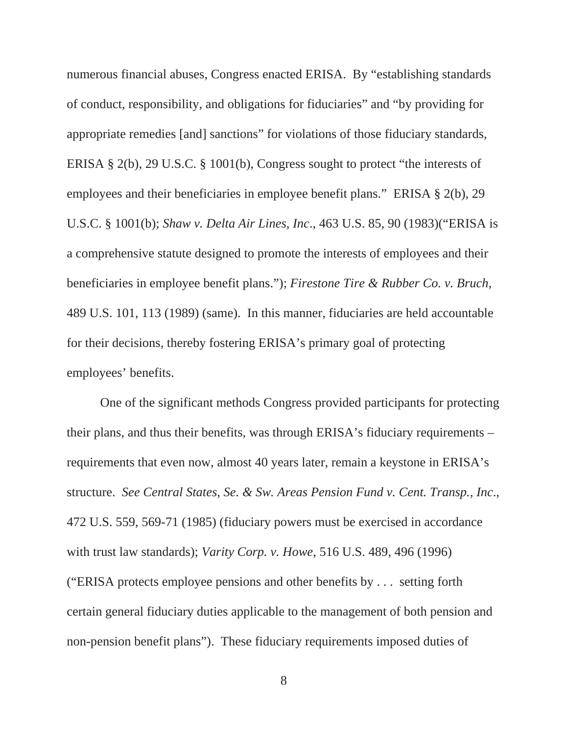numerous financial abuses, Congress enacted ERISA. By "establishing standards of conduct, responsibility, and obligations for fiduciaries" and "by providing for appropriate remedies [and] sanctions" for violations of those fiduciary standards, ERISA § 2(b), 29 U.S.C. § 1001(b), Congress sought to protect "the interests of employees and their beneficiaries in employee benefit plans." ERISA § 2(b), 29 U.S.C. § 1001(b); *Shaw v. Delta Air Lines, Inc*., 463 U.S. 85, 90 (1983)("ERISA is a comprehensive statute designed to promote the interests of employees and their beneficiaries in employee benefit plans."); *Firestone Tire & Rubber Co. v. Bruch*, 489 U.S. 101, 113 (1989) (same). In this manner, fiduciaries are held accountable for their decisions, thereby fostering ERISA's primary goal of protecting employees' benefits.

One of the significant methods Congress provided participants for protecting their plans, and thus their benefits, was through ERISA's fiduciary requirements – requirements that even now, almost 40 years later, remain a keystone in ERISA's structure. *See Central States, Se. & Sw. Areas Pension Fund v. Cent. Transp., Inc*., 472 U.S. 559, 569-71 (1985) (fiduciary powers must be exercised in accordance with trust law standards); *Varity Corp. v. Howe*, 516 U.S. 489, 496 (1996) ("ERISA protects employee pensions and other benefits by . . . setting forth certain general fiduciary duties applicable to the management of both pension and non-pension benefit plans"). These fiduciary requirements imposed duties of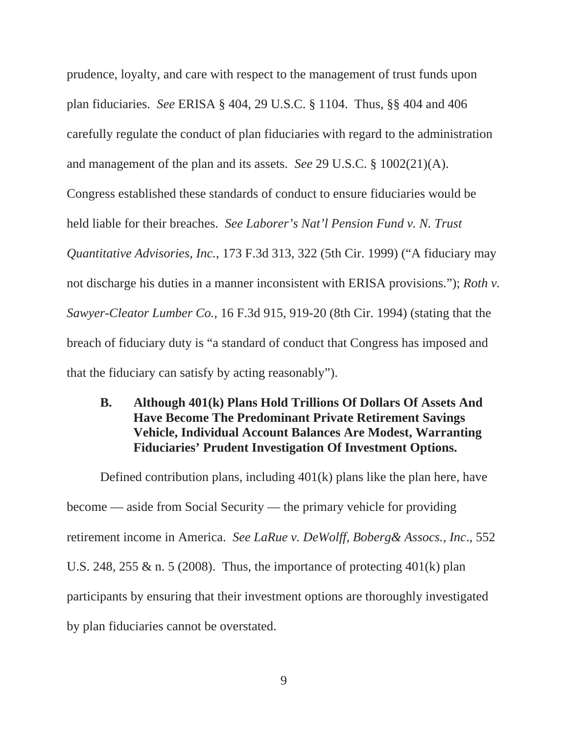prudence, loyalty, and care with respect to the management of trust funds upon plan fiduciaries. *See* ERISA § 404, 29 U.S.C. § 1104. Thus, §§ 404 and 406 carefully regulate the conduct of plan fiduciaries with regard to the administration and management of the plan and its assets. *See* 29 U.S.C. § 1002(21)(A). Congress established these standards of conduct to ensure fiduciaries would be held liable for their breaches. *See Laborer's Nat'l Pension Fund v. N. Trust Quantitative Advisories, Inc.*, 173 F.3d 313, 322 (5th Cir. 1999) ("A fiduciary may not discharge his duties in a manner inconsistent with ERISA provisions."); *Roth v. Sawyer-Cleator Lumber Co.*, 16 F.3d 915, 919-20 (8th Cir. 1994) (stating that the breach of fiduciary duty is "a standard of conduct that Congress has imposed and that the fiduciary can satisfy by acting reasonably").

## **B. Although 401(k) Plans Hold Trillions Of Dollars Of Assets And Have Become The Predominant Private Retirement Savings Vehicle, Individual Account Balances Are Modest, Warranting Fiduciaries' Prudent Investigation Of Investment Options.**

Defined contribution plans, including 401(k) plans like the plan here, have become — aside from Social Security — the primary vehicle for providing retirement income in America. *See LaRue v. DeWolff, Boberg& Assocs., Inc*., 552 U.S. 248, 255 & n. 5 (2008). Thus, the importance of protecting  $401(k)$  plan participants by ensuring that their investment options are thoroughly investigated by plan fiduciaries cannot be overstated.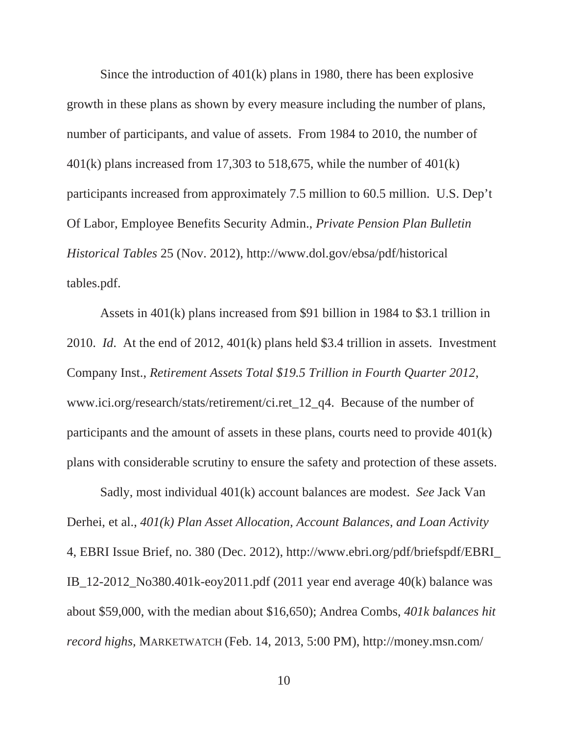Since the introduction of 401(k) plans in 1980, there has been explosive growth in these plans as shown by every measure including the number of plans, number of participants, and value of assets. From 1984 to 2010, the number of  $401(k)$  plans increased from 17,303 to 518,675, while the number of  $401(k)$ participants increased from approximately 7.5 million to 60.5 million. U.S. Dep't Of Labor, Employee Benefits Security Admin., *Private Pension Plan Bulletin Historical Tables* 25 (Nov. 2012), http://www.dol.gov/ebsa/pdf/historical tables.pdf.

Assets in 401(k) plans increased from \$91 billion in 1984 to \$3.1 trillion in 2010. *Id*. At the end of 2012, 401(k) plans held \$3.4 trillion in assets. Investment Company Inst., *Retirement Assets Total \$19.5 Trillion in Fourth Quarter 2012*, www.ici.org/research/stats/retirement/ci.ret\_12\_q4. Because of the number of participants and the amount of assets in these plans, courts need to provide 401(k) plans with considerable scrutiny to ensure the safety and protection of these assets.

Sadly, most individual 401(k) account balances are modest. *See* Jack Van Derhei, et al., *401(k) Plan Asset Allocation, Account Balances, and Loan Activity* 4, EBRI Issue Brief, no. 380 (Dec. 2012), http://www.ebri.org/pdf/briefspdf/EBRI\_ IB 12-2012 No380.401k-eoy2011.pdf (2011 year end average 40(k) balance was about \$59,000, with the median about \$16,650); Andrea Combs, *401k balances hit record highs,* MARKETWATCH (Feb. 14, 2013, 5:00 PM), http://money.msn.com/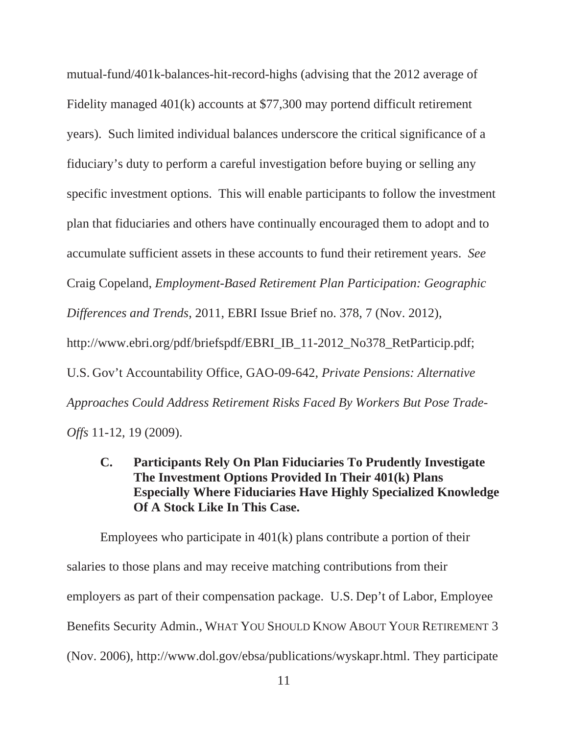mutual-fund/401k-balances-hit-record-highs (advising that the 2012 average of Fidelity managed 401(k) accounts at \$77,300 may portend difficult retirement years). Such limited individual balances underscore the critical significance of a fiduciary's duty to perform a careful investigation before buying or selling any specific investment options. This will enable participants to follow the investment plan that fiduciaries and others have continually encouraged them to adopt and to accumulate sufficient assets in these accounts to fund their retirement years. *See* Craig Copeland, *Employment-Based Retirement Plan Participation: Geographic Differences and Trends*, 2011, EBRI Issue Brief no. 378, 7 (Nov. 2012), http://www.ebri.org/pdf/briefspdf/EBRI\_IB\_11-2012\_No378\_RetParticip.pdf; U.S. Gov't Accountability Office, GAO-09-642, *Private Pensions: Alternative Approaches Could Address Retirement Risks Faced By Workers But Pose Trade-Offs* 11-12, 19 (2009).

**C. Participants Rely On Plan Fiduciaries To Prudently Investigate The Investment Options Provided In Their 401(k) Plans Especially Where Fiduciaries Have Highly Specialized Knowledge Of A Stock Like In This Case.** 

Employees who participate in 401(k) plans contribute a portion of their salaries to those plans and may receive matching contributions from their employers as part of their compensation package. U.S. Dep't of Labor, Employee Benefits Security Admin., WHAT YOU SHOULD KNOW ABOUT YOUR RETIREMENT 3 (Nov. 2006), http://www.dol.gov/ebsa/publications/wyskapr.html. They participate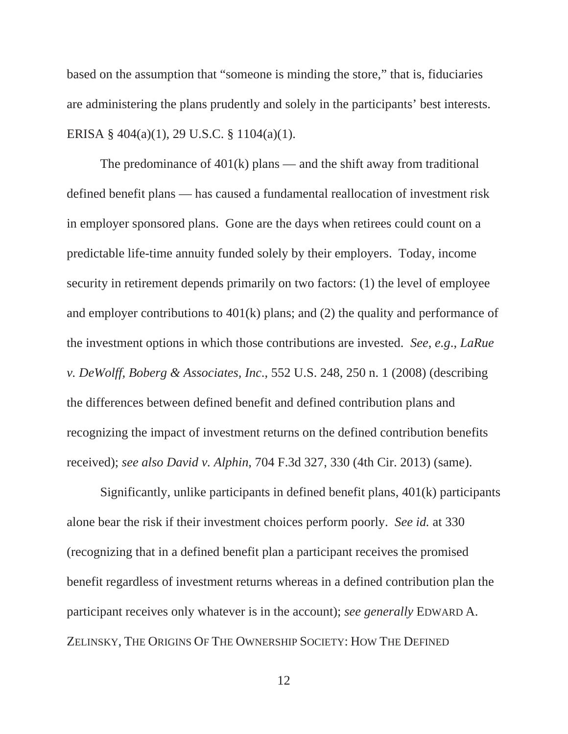based on the assumption that "someone is minding the store," that is, fiduciaries are administering the plans prudently and solely in the participants' best interests. ERISA § 404(a)(1), 29 U.S.C. § 1104(a)(1).

The predominance of  $401(k)$  plans — and the shift away from traditional defined benefit plans — has caused a fundamental reallocation of investment risk in employer sponsored plans. Gone are the days when retirees could count on a predictable life-time annuity funded solely by their employers. Today, income security in retirement depends primarily on two factors: (1) the level of employee and employer contributions to 401(k) plans; and (2) the quality and performance of the investment options in which those contributions are invested. *See*, *e.g*., *LaRue v. DeWolff, Boberg & Associates, Inc*., 552 U.S. 248, 250 n. 1 (2008) (describing the differences between defined benefit and defined contribution plans and recognizing the impact of investment returns on the defined contribution benefits received); *see also David v. Alphin*, 704 F.3d 327, 330 (4th Cir. 2013) (same).

Significantly, unlike participants in defined benefit plans, 401(k) participants alone bear the risk if their investment choices perform poorly. *See id.* at 330 (recognizing that in a defined benefit plan a participant receives the promised benefit regardless of investment returns whereas in a defined contribution plan the participant receives only whatever is in the account); *see generally* EDWARD A. ZELINSKY, THE ORIGINS OF THE OWNERSHIP SOCIETY: HOW THE DEFINED

12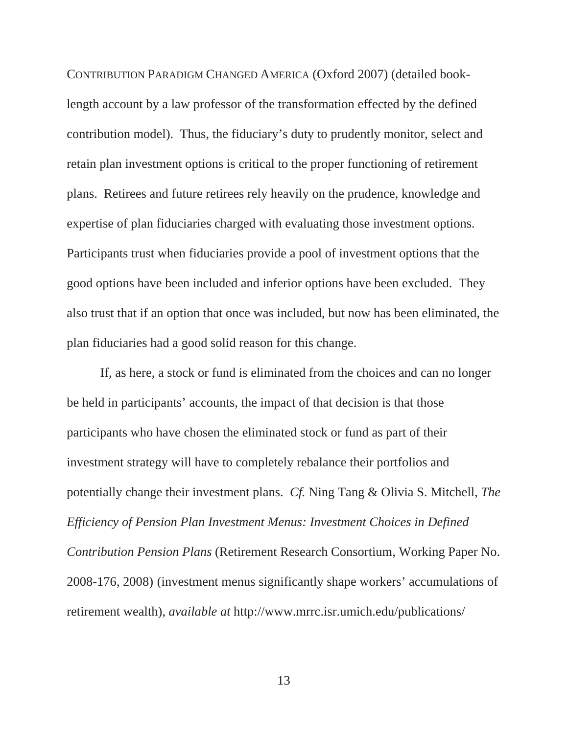CONTRIBUTION PARADIGM CHANGED AMERICA (Oxford 2007) (detailed booklength account by a law professor of the transformation effected by the defined contribution model). Thus, the fiduciary's duty to prudently monitor, select and retain plan investment options is critical to the proper functioning of retirement plans. Retirees and future retirees rely heavily on the prudence, knowledge and expertise of plan fiduciaries charged with evaluating those investment options. Participants trust when fiduciaries provide a pool of investment options that the good options have been included and inferior options have been excluded. They also trust that if an option that once was included, but now has been eliminated, the plan fiduciaries had a good solid reason for this change.

If, as here, a stock or fund is eliminated from the choices and can no longer be held in participants' accounts, the impact of that decision is that those participants who have chosen the eliminated stock or fund as part of their investment strategy will have to completely rebalance their portfolios and potentially change their investment plans. *Cf.* Ning Tang & Olivia S. Mitchell, *The Efficiency of Pension Plan Investment Menus: Investment Choices in Defined Contribution Pension Plans* (Retirement Research Consortium, Working Paper No. 2008-176, 2008) (investment menus significantly shape workers' accumulations of retirement wealth), *available at* http://www.mrrc.isr.umich.edu/publications/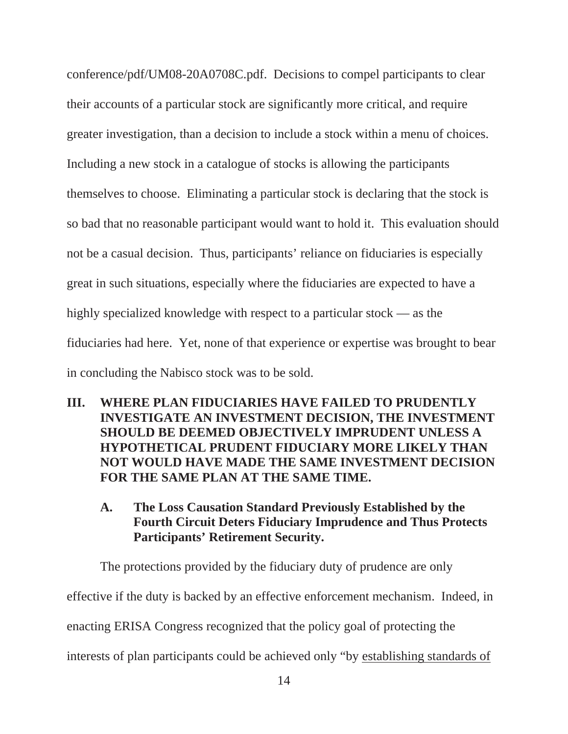conference/pdf/UM08-20A0708C.pdf. Decisions to compel participants to clear their accounts of a particular stock are significantly more critical, and require greater investigation, than a decision to include a stock within a menu of choices. Including a new stock in a catalogue of stocks is allowing the participants themselves to choose. Eliminating a particular stock is declaring that the stock is so bad that no reasonable participant would want to hold it. This evaluation should not be a casual decision. Thus, participants' reliance on fiduciaries is especially great in such situations, especially where the fiduciaries are expected to have a highly specialized knowledge with respect to a particular stock — as the fiduciaries had here. Yet, none of that experience or expertise was brought to bear in concluding the Nabisco stock was to be sold.

- **III. WHERE PLAN FIDUCIARIES HAVE FAILED TO PRUDENTLY INVESTIGATE AN INVESTMENT DECISION, THE INVESTMENT SHOULD BE DEEMED OBJECTIVELY IMPRUDENT UNLESS A HYPOTHETICAL PRUDENT FIDUCIARY MORE LIKELY THAN NOT WOULD HAVE MADE THE SAME INVESTMENT DECISION FOR THE SAME PLAN AT THE SAME TIME.** 
	- **A. The Loss Causation Standard Previously Established by the Fourth Circuit Deters Fiduciary Imprudence and Thus Protects Participants' Retirement Security.**

The protections provided by the fiduciary duty of prudence are only effective if the duty is backed by an effective enforcement mechanism. Indeed, in enacting ERISA Congress recognized that the policy goal of protecting the interests of plan participants could be achieved only "by establishing standards of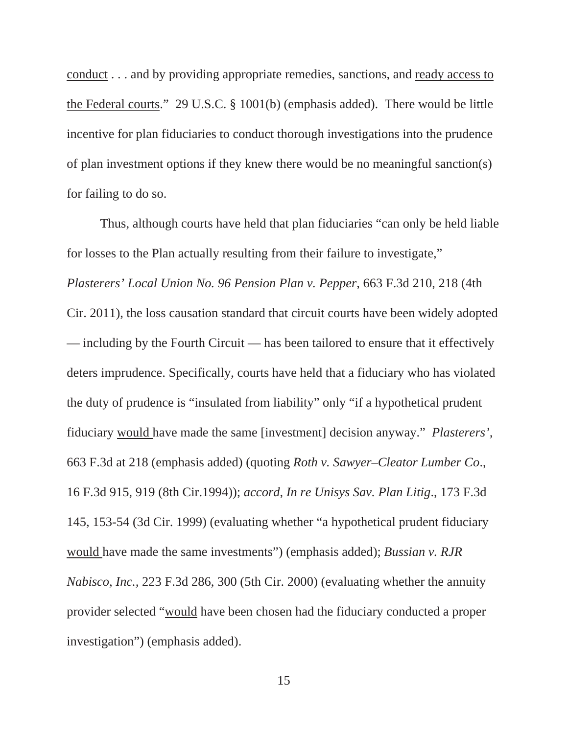conduct . . . and by providing appropriate remedies, sanctions, and ready access to the Federal courts." 29 U.S.C. § 1001(b) (emphasis added). There would be little incentive for plan fiduciaries to conduct thorough investigations into the prudence of plan investment options if they knew there would be no meaningful sanction(s) for failing to do so.

Thus, although courts have held that plan fiduciaries "can only be held liable for losses to the Plan actually resulting from their failure to investigate," *Plasterers' Local Union No. 96 Pension Plan v. Pepper*, 663 F.3d 210, 218 (4th Cir. 2011), the loss causation standard that circuit courts have been widely adopted — including by the Fourth Circuit — has been tailored to ensure that it effectively deters imprudence. Specifically, courts have held that a fiduciary who has violated the duty of prudence is "insulated from liability" only "if a hypothetical prudent fiduciary would have made the same [investment] decision anyway." *Plasterers',* 663 F.3d at 218 (emphasis added) (quoting *Roth v. Sawyer–Cleator Lumber Co*., 16 F.3d 915, 919 (8th Cir.1994)); *accord*, *In re Unisys Sav. Plan Litig*., 173 F.3d 145, 153-54 (3d Cir. 1999) (evaluating whether "a hypothetical prudent fiduciary would have made the same investments") (emphasis added); *Bussian v. RJR Nabisco, Inc.,* 223 F.3d 286, 300 (5th Cir. 2000) (evaluating whether the annuity provider selected "would have been chosen had the fiduciary conducted a proper investigation") (emphasis added).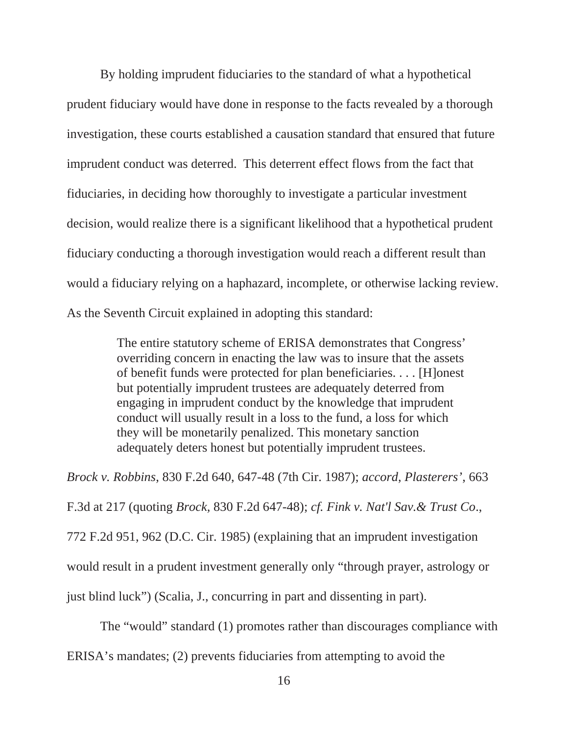By holding imprudent fiduciaries to the standard of what a hypothetical prudent fiduciary would have done in response to the facts revealed by a thorough investigation, these courts established a causation standard that ensured that future imprudent conduct was deterred. This deterrent effect flows from the fact that fiduciaries, in deciding how thoroughly to investigate a particular investment decision, would realize there is a significant likelihood that a hypothetical prudent fiduciary conducting a thorough investigation would reach a different result than would a fiduciary relying on a haphazard, incomplete, or otherwise lacking review. As the Seventh Circuit explained in adopting this standard:

> The entire statutory scheme of ERISA demonstrates that Congress' overriding concern in enacting the law was to insure that the assets of benefit funds were protected for plan beneficiaries. . . . [H]onest but potentially imprudent trustees are adequately deterred from engaging in imprudent conduct by the knowledge that imprudent conduct will usually result in a loss to the fund, a loss for which they will be monetarily penalized. This monetary sanction adequately deters honest but potentially imprudent trustees.

*Brock v. Robbins*, 830 F.2d 640, 647-48 (7th Cir. 1987); *accord*, *Plasterers'*, 663 F.3d at 217 (quoting *Brock,* 830 F.2d 647-48); *cf. Fink v. Nat'l Sav.& Trust Co*., 772 F.2d 951, 962 (D.C. Cir. 1985) (explaining that an imprudent investigation would result in a prudent investment generally only "through prayer, astrology or just blind luck") (Scalia, J., concurring in part and dissenting in part).

The "would" standard (1) promotes rather than discourages compliance with

ERISA's mandates; (2) prevents fiduciaries from attempting to avoid the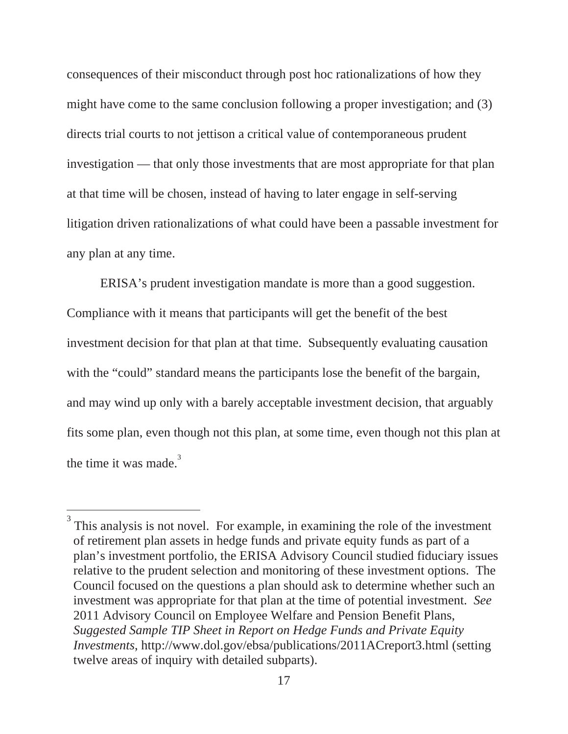consequences of their misconduct through post hoc rationalizations of how they might have come to the same conclusion following a proper investigation; and (3) directs trial courts to not jettison a critical value of contemporaneous prudent investigation — that only those investments that are most appropriate for that plan at that time will be chosen, instead of having to later engage in self-serving litigation driven rationalizations of what could have been a passable investment for any plan at any time.

ERISA's prudent investigation mandate is more than a good suggestion. Compliance with it means that participants will get the benefit of the best investment decision for that plan at that time. Subsequently evaluating causation with the "could" standard means the participants lose the benefit of the bargain, and may wind up only with a barely acceptable investment decision, that arguably fits some plan, even though not this plan, at some time, even though not this plan at the time it was made. $3$ 

<sup>3</sup> This analysis is not novel. For example, in examining the role of the investment of retirement plan assets in hedge funds and private equity funds as part of a plan's investment portfolio, the ERISA Advisory Council studied fiduciary issues relative to the prudent selection and monitoring of these investment options. The Council focused on the questions a plan should ask to determine whether such an investment was appropriate for that plan at the time of potential investment. *See* 2011 Advisory Council on Employee Welfare and Pension Benefit Plans, *Suggested Sample TIP Sheet in Report on Hedge Funds and Private Equity Investments*, http://www.dol.gov/ebsa/publications/2011ACreport3.html (setting twelve areas of inquiry with detailed subparts).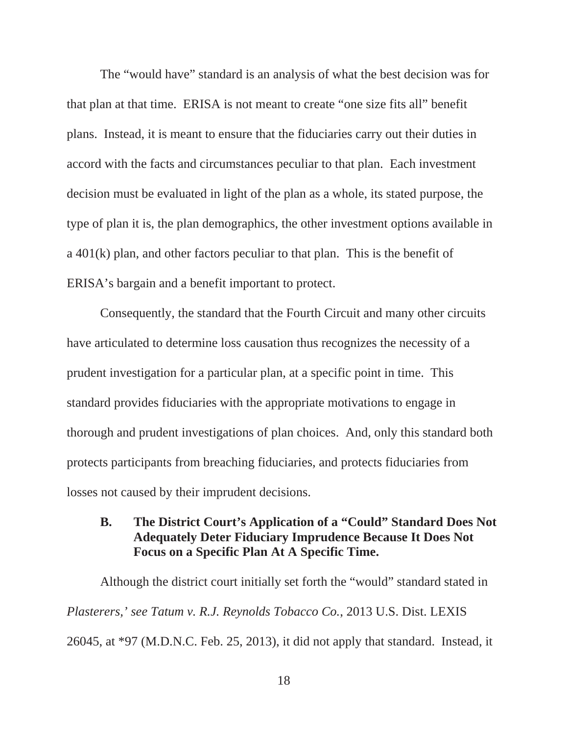The "would have" standard is an analysis of what the best decision was for that plan at that time. ERISA is not meant to create "one size fits all" benefit plans. Instead, it is meant to ensure that the fiduciaries carry out their duties in accord with the facts and circumstances peculiar to that plan. Each investment decision must be evaluated in light of the plan as a whole, its stated purpose, the type of plan it is, the plan demographics, the other investment options available in a 401(k) plan, and other factors peculiar to that plan. This is the benefit of ERISA's bargain and a benefit important to protect.

Consequently, the standard that the Fourth Circuit and many other circuits have articulated to determine loss causation thus recognizes the necessity of a prudent investigation for a particular plan, at a specific point in time. This standard provides fiduciaries with the appropriate motivations to engage in thorough and prudent investigations of plan choices. And, only this standard both protects participants from breaching fiduciaries, and protects fiduciaries from losses not caused by their imprudent decisions.

## **B. The District Court's Application of a "Could" Standard Does Not Adequately Deter Fiduciary Imprudence Because It Does Not Focus on a Specific Plan At A Specific Time.**

Although the district court initially set forth the "would" standard stated in *Plasterers,' see Tatum v. R.J. Reynolds Tobacco Co.*, 2013 U.S. Dist. LEXIS 26045, at \*97 (M.D.N.C. Feb. 25, 2013), it did not apply that standard. Instead, it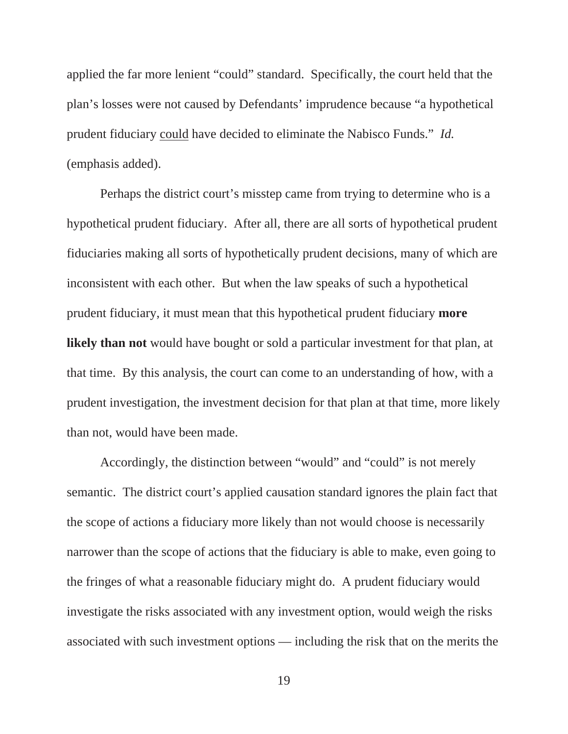applied the far more lenient "could" standard. Specifically, the court held that the plan's losses were not caused by Defendants' imprudence because "a hypothetical prudent fiduciary could have decided to eliminate the Nabisco Funds." *Id.* (emphasis added).

Perhaps the district court's misstep came from trying to determine who is a hypothetical prudent fiduciary. After all, there are all sorts of hypothetical prudent fiduciaries making all sorts of hypothetically prudent decisions, many of which are inconsistent with each other. But when the law speaks of such a hypothetical prudent fiduciary, it must mean that this hypothetical prudent fiduciary **more likely than not** would have bought or sold a particular investment for that plan, at that time. By this analysis, the court can come to an understanding of how, with a prudent investigation, the investment decision for that plan at that time, more likely than not, would have been made.

Accordingly, the distinction between "would" and "could" is not merely semantic. The district court's applied causation standard ignores the plain fact that the scope of actions a fiduciary more likely than not would choose is necessarily narrower than the scope of actions that the fiduciary is able to make, even going to the fringes of what a reasonable fiduciary might do. A prudent fiduciary would investigate the risks associated with any investment option, would weigh the risks associated with such investment options — including the risk that on the merits the

19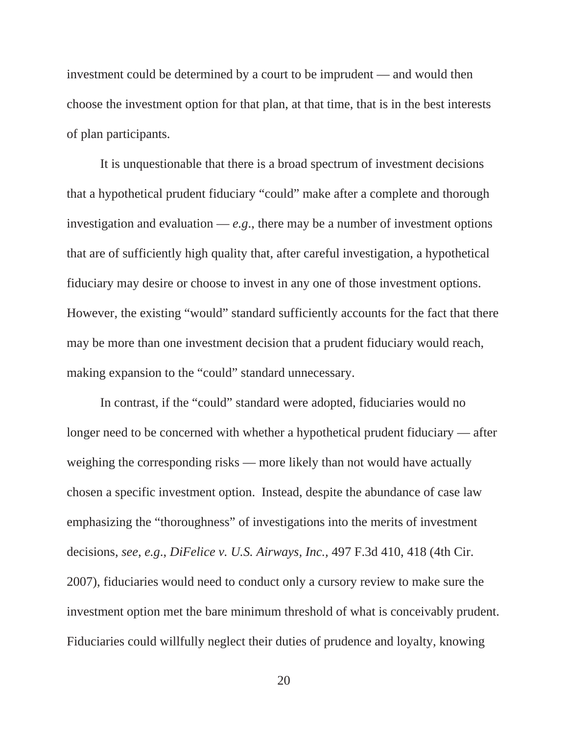investment could be determined by a court to be imprudent — and would then choose the investment option for that plan, at that time, that is in the best interests of plan participants.

It is unquestionable that there is a broad spectrum of investment decisions that a hypothetical prudent fiduciary "could" make after a complete and thorough investigation and evaluation  $-e.g.,$  there may be a number of investment options that are of sufficiently high quality that, after careful investigation, a hypothetical fiduciary may desire or choose to invest in any one of those investment options. However, the existing "would" standard sufficiently accounts for the fact that there may be more than one investment decision that a prudent fiduciary would reach, making expansion to the "could" standard unnecessary.

In contrast, if the "could" standard were adopted, fiduciaries would no longer need to be concerned with whether a hypothetical prudent fiduciary — after weighing the corresponding risks — more likely than not would have actually chosen a specific investment option. Instead, despite the abundance of case law emphasizing the "thoroughness" of investigations into the merits of investment decisions, *see*, *e.g*., *DiFelice v. U.S. Airways, Inc.,* 497 F.3d 410, 418 (4th Cir. 2007), fiduciaries would need to conduct only a cursory review to make sure the investment option met the bare minimum threshold of what is conceivably prudent. Fiduciaries could willfully neglect their duties of prudence and loyalty, knowing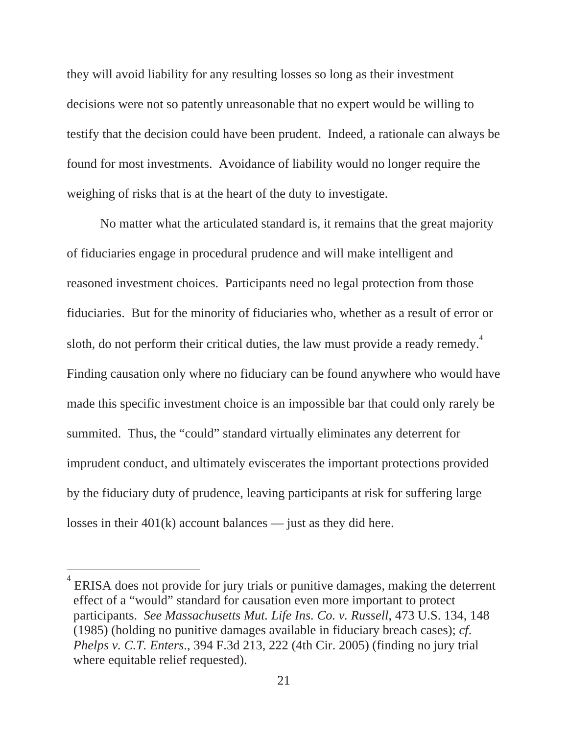they will avoid liability for any resulting losses so long as their investment decisions were not so patently unreasonable that no expert would be willing to testify that the decision could have been prudent. Indeed, a rationale can always be found for most investments. Avoidance of liability would no longer require the weighing of risks that is at the heart of the duty to investigate.

No matter what the articulated standard is, it remains that the great majority of fiduciaries engage in procedural prudence and will make intelligent and reasoned investment choices. Participants need no legal protection from those fiduciaries. But for the minority of fiduciaries who, whether as a result of error or sloth, do not perform their critical duties, the law must provide a ready remedy.<sup>4</sup> Finding causation only where no fiduciary can be found anywhere who would have made this specific investment choice is an impossible bar that could only rarely be summited. Thus, the "could" standard virtually eliminates any deterrent for imprudent conduct, and ultimately eviscerates the important protections provided by the fiduciary duty of prudence, leaving participants at risk for suffering large losses in their 401(k) account balances — just as they did here.

<sup>4</sup> ERISA does not provide for jury trials or punitive damages, making the deterrent effect of a "would" standard for causation even more important to protect participants. *See Massachusetts Mut. Life Ins. Co. v. Russell*, 473 U.S. 134, 148 (1985) (holding no punitive damages available in fiduciary breach cases); *cf*. *Phelps v. C.T. Enters*., 394 F.3d 213, 222 (4th Cir. 2005) (finding no jury trial where equitable relief requested).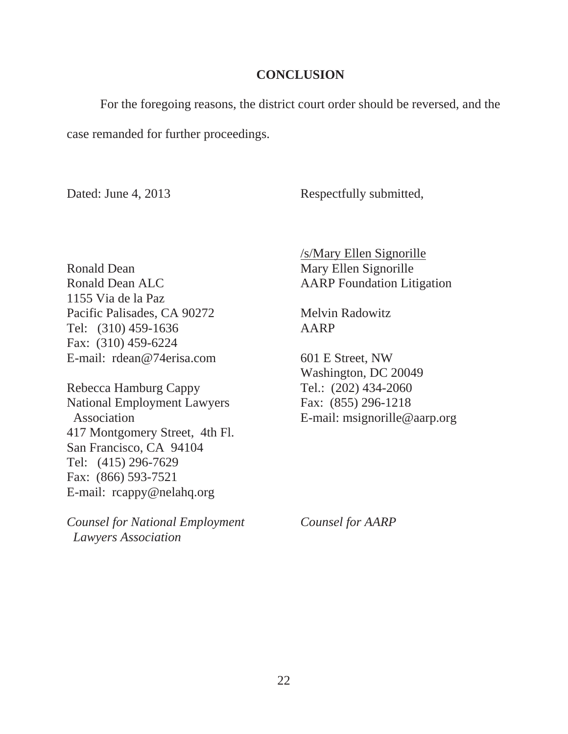#### **CONCLUSION**

For the foregoing reasons, the district court order should be reversed, and the case remanded for further proceedings.

Dated: June 4, 2013 Respectfully submitted,

Ronald Dean Mary Ellen Signorille Ronald Dean ALC AARP Foundation Litigation 1155 Via de la Paz Pacific Palisades, CA 90272 Melvin Radowitz Tel: (310) 459-1636 AARP Fax: (310) 459-6224 E-mail: rdean@74erisa.com 601 E Street, NW

Rebecca Hamburg Cappy Tel.: (202) 434-2060 National Employment Lawyers Fax: (855) 296-1218 Association **E-mail:** msignorille@aarp.org 417 Montgomery Street, 4th Fl. San Francisco, CA 94104 Tel: (415) 296-7629 Fax: (866) 593-7521 E-mail: rcappy@nelahq.org

*Counsel for National Employment Counsel for AARP Lawyers Association* 

/s/Mary Ellen Signorille

Washington, DC 20049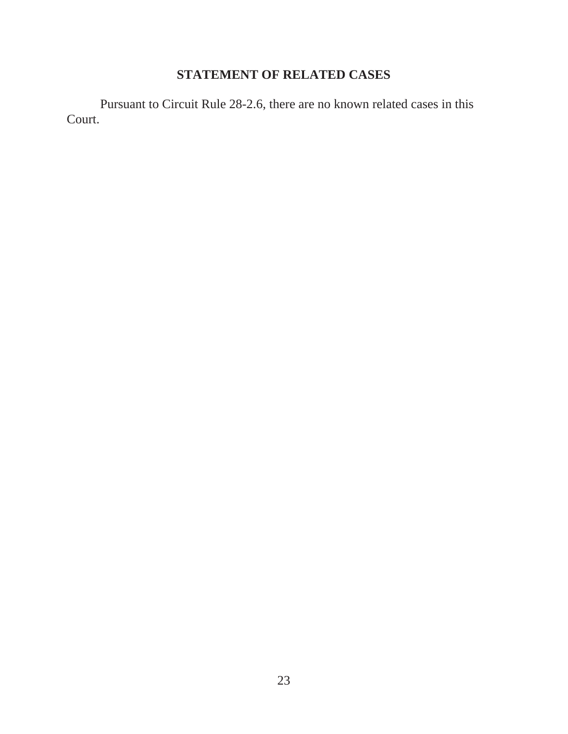## **STATEMENT OF RELATED CASES**

Pursuant to Circuit Rule 28-2.6, there are no known related cases in this Court.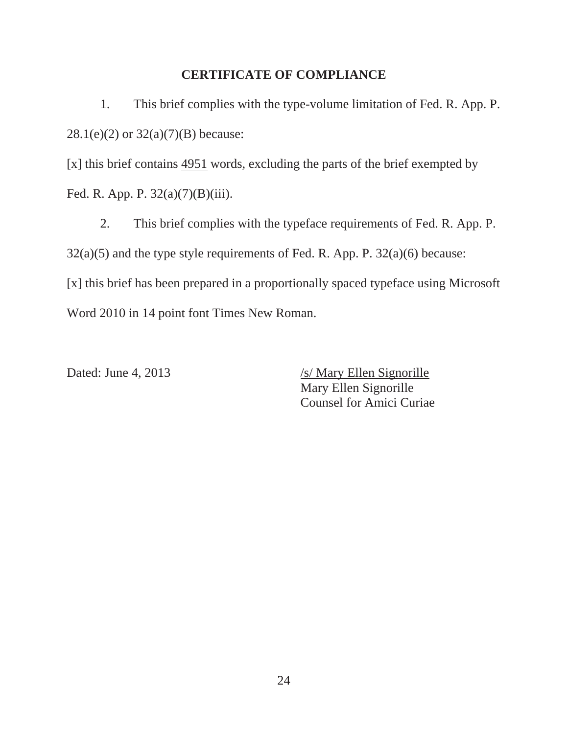#### **CERTIFICATE OF COMPLIANCE**

1. This brief complies with the type-volume limitation of Fed. R. App. P.  $28.1(e)(2)$  or  $32(a)(7)(B)$  because:

[x] this brief contains 4951 words, excluding the parts of the brief exempted by Fed. R. App. P. 32(a)(7)(B)(iii).

 2. This brief complies with the typeface requirements of Fed. R. App. P.  $32(a)(5)$  and the type style requirements of Fed. R. App. P.  $32(a)(6)$  because: [x] this brief has been prepared in a proportionally spaced typeface using Microsoft Word 2010 in 14 point font Times New Roman.

Dated: June 4, 2013 /s/ Mary Ellen Signorille Mary Ellen Signorille Counsel for Amici Curiae